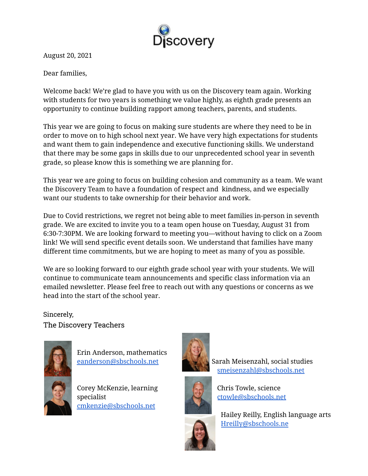

August 20, 2021

Dear families,

Welcome back! We're glad to have you with us on the Discovery team again. Working with students for two years is something we value highly, as eighth grade presents an opportunity to continue building rapport among teachers, parents, and students.

This year we are going to focus on making sure students are where they need to be in order to move on to high school next year. We have very high expectations for students and want them to gain independence and executive functioning skills. We understand that there may be some gaps in skills due to our unprecedented school year in seventh grade, so please know this is something we are planning for.

This year we are going to focus on building cohesion and community as a team. We want the Discovery Team to have a foundation of respect and kindness, and we especially want our students to take ownership for their behavior and work.

Due to Covid restrictions, we regret not being able to meet families in-person in seventh grade. We are excited to invite you to a team open house on Tuesday, August 31 from 6:30-7:30PM. We are looking forward to meeting you—without having to click on a Zoom link! We will send specific event details soon. We understand that families have many different time commitments, but we are hoping to meet as many of you as possible.

We are so looking forward to our eighth grade school year with your students. We will continue to communicate team announcements and specific class information via an emailed newsletter. Please feel free to reach out with any questions or concerns as we head into the start of the school year.

Sincerely, The Discovery Teachers





Corey McKenzie, learning specialist [cmkenzie@sbschools.net](mailto:cmkenzie@sbschools.net)



Sarah Meisenzahl, social studies [smeisenzahl@sbschools.net](mailto:smeisenzahl@sbschools.net)



Chris Towle, science [ctowle@sbschools.net](mailto:ctowle@sbschools.net)



Hailey Reilly, English language arts [Hreilly@sbschools.ne](mailto:Hreilly@sbschools.net)